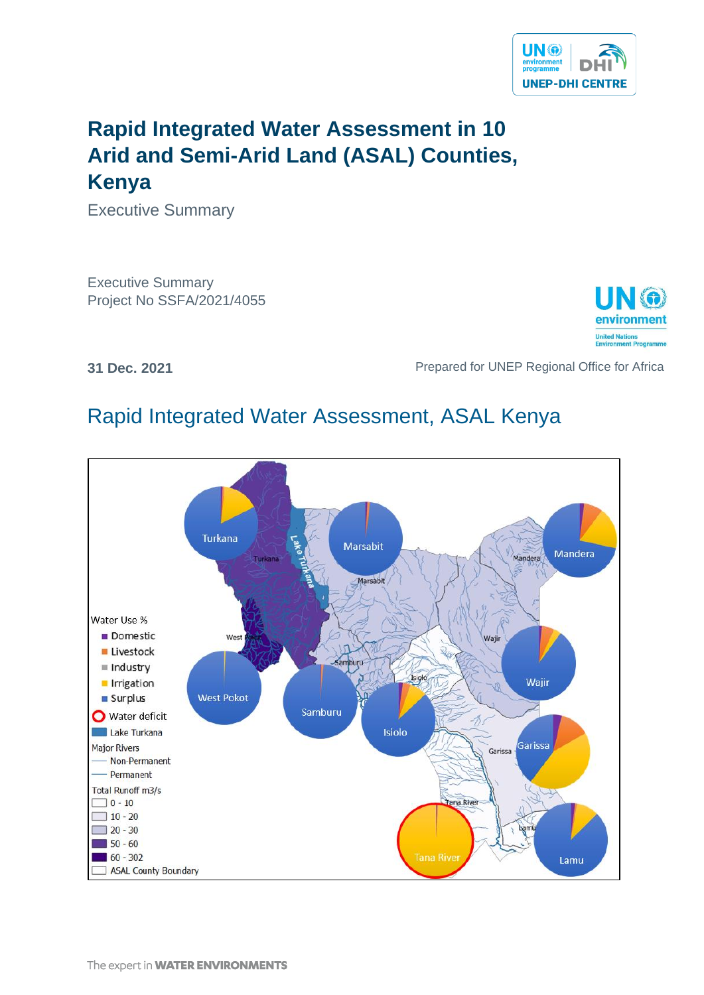

# **Rapid Integrated Water Assessment in 10 Arid and Semi-Arid Land (ASAL) Counties, Kenya**

Executive Summary

Executive Summary Project No SSFA/2021/4055



**31 Dec. 2021 Prepared for UNEP Regional Office for Africa** 

# Rapid Integrated Water Assessment, ASAL Kenya

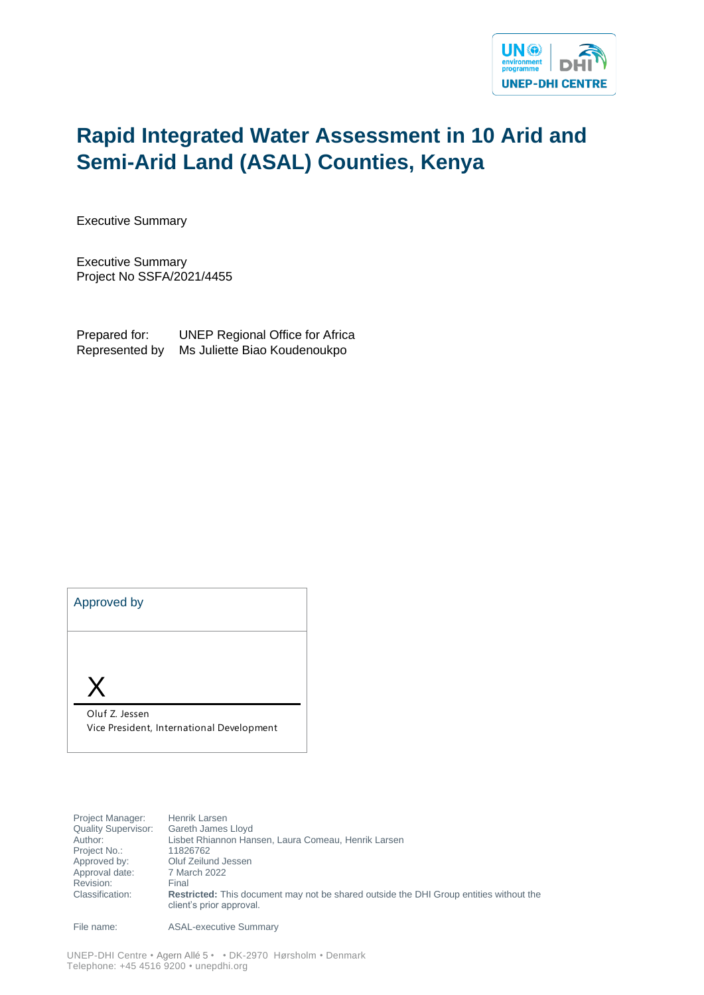

# **Rapid Integrated Water Assessment in 10 Arid and Semi-Arid Land (ASAL) Counties, Kenya**

Executive Summary

Executive Summary Project No SSFA/2021/4455

Prepared for: UNEP Regional Office for Africa Represented by Ms Juliette Biao Koudenoukpo

| Approved by                                                 |
|-------------------------------------------------------------|
|                                                             |
|                                                             |
| Oluf Z. Jessen<br>Vice President, International Development |

Project Manager: Henrik Larsen<br>Quality Supervisor: Gareth James Quality Supervisor: Gareth James Lloyd<br>Author: Lisbet Rhiannon Har Lisbet Rhiannon Hansen, Laura Comeau, Henrik Larsen Project No.: 11826762 Approved by: Oluf Zeilund Jessen<br>Approval date: 7 March 2022 Approval date: Revision: Final Classification: **Restricted:** This document may not be shared outside the DHI Group entities without the client's prior approval.

File name: ASAL-executive Summary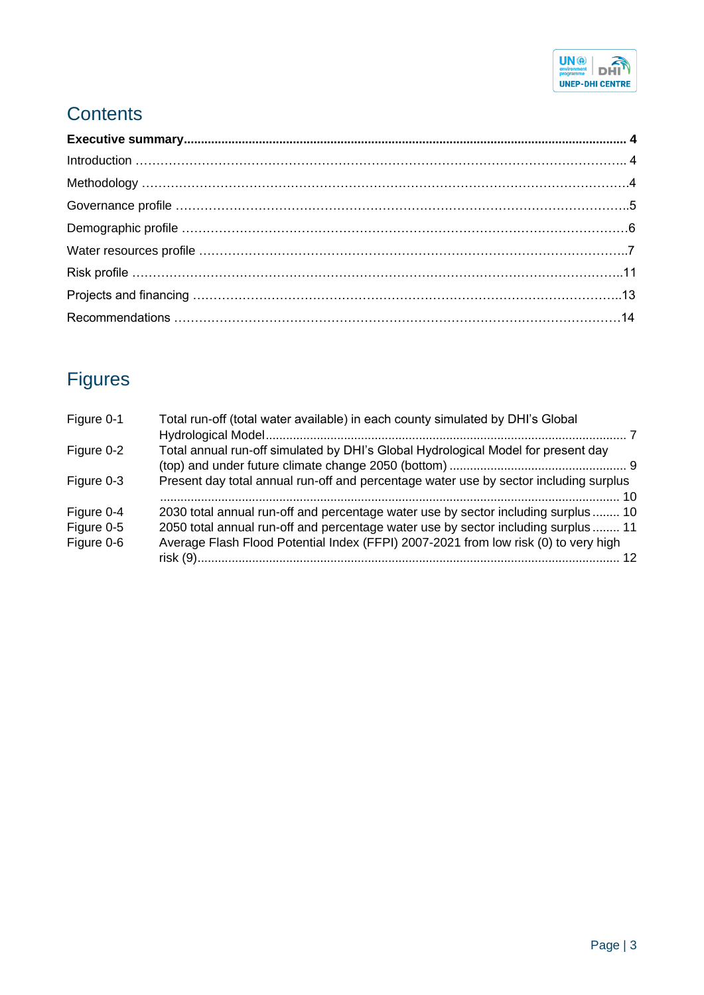

## **Contents**

# Figures

| Figure 0-1 | Total run-off (total water available) in each county simulated by DHI's Global        |  |
|------------|---------------------------------------------------------------------------------------|--|
| Figure 0-2 | Total annual run-off simulated by DHI's Global Hydrological Model for present day     |  |
| Figure 0-3 | Present day total annual run-off and percentage water use by sector including surplus |  |
| Figure 0-4 | 2030 total annual run-off and percentage water use by sector including surplus  10    |  |
| Figure 0-5 | 2050 total annual run-off and percentage water use by sector including surplus  11    |  |
| Figure 0-6 | Average Flash Flood Potential Index (FFPI) 2007-2021 from low risk (0) to very high   |  |
|            |                                                                                       |  |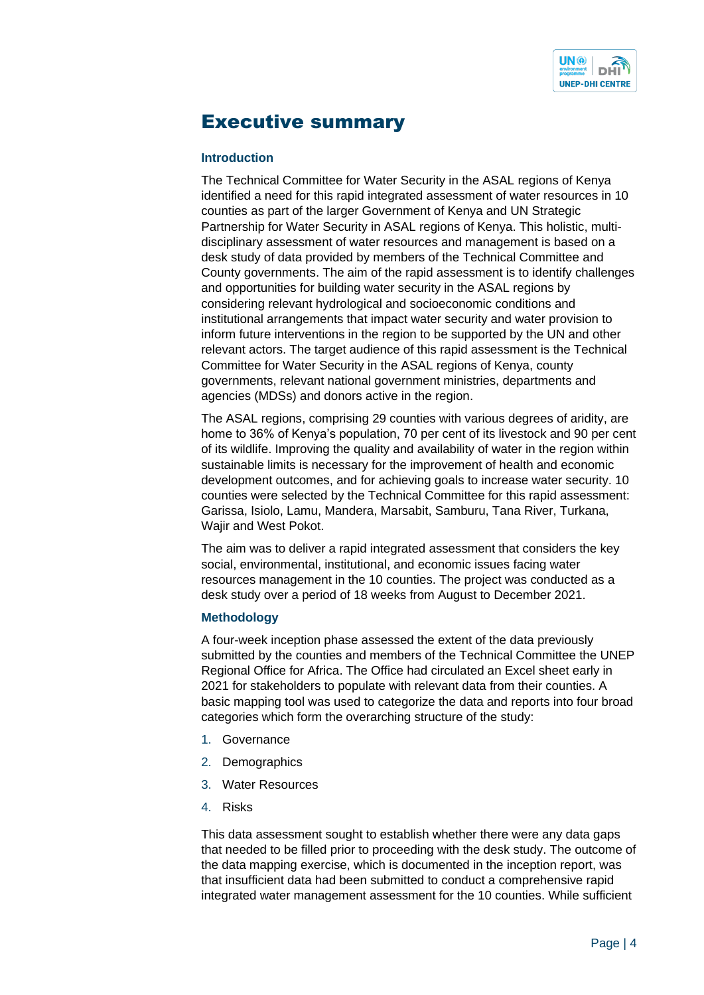

### <span id="page-3-0"></span>Executive summary

#### **Introduction**

The Technical Committee for Water Security in the ASAL regions of Kenya identified a need for this rapid integrated assessment of water resources in 10 counties as part of the larger Government of Kenya and UN Strategic Partnership for Water Security in ASAL regions of Kenya. This holistic, multidisciplinary assessment of water resources and management is based on a desk study of data provided by members of the Technical Committee and County governments. The aim of the rapid assessment is to identify challenges and opportunities for building water security in the ASAL regions by considering relevant hydrological and socioeconomic conditions and institutional arrangements that impact water security and water provision to inform future interventions in the region to be supported by the UN and other relevant actors. The target audience of this rapid assessment is the Technical Committee for Water Security in the ASAL regions of Kenya, county governments, relevant national government ministries, departments and agencies (MDSs) and donors active in the region.

The ASAL regions, comprising 29 counties with various degrees of aridity, are home to 36% of Kenya's population, 70 per cent of its livestock and 90 per cent of its wildlife. Improving the quality and availability of water in the region within sustainable limits is necessary for the improvement of health and economic development outcomes, and for achieving goals to increase water security. 10 counties were selected by the Technical Committee for this rapid assessment: Garissa, Isiolo, Lamu, Mandera, Marsabit, Samburu, Tana River, Turkana, Wajir and West Pokot.

The aim was to deliver a rapid integrated assessment that considers the key social, environmental, institutional, and economic issues facing water resources management in the 10 counties. The project was conducted as a desk study over a period of 18 weeks from August to December 2021.

#### **Methodology**

A four-week inception phase assessed the extent of the data previously submitted by the counties and members of the Technical Committee the UNEP Regional Office for Africa. The Office had circulated an Excel sheet early in 2021 for stakeholders to populate with relevant data from their counties. A basic mapping tool was used to categorize the data and reports into four broad categories which form the overarching structure of the study:

- 1. Governance
- 2. Demographics
- 3. Water Resources
- 4. Risks

This data assessment sought to establish whether there were any data gaps that needed to be filled prior to proceeding with the desk study. The outcome of the data mapping exercise, which is documented in the inception report, was that insufficient data had been submitted to conduct a comprehensive rapid integrated water management assessment for the 10 counties. While sufficient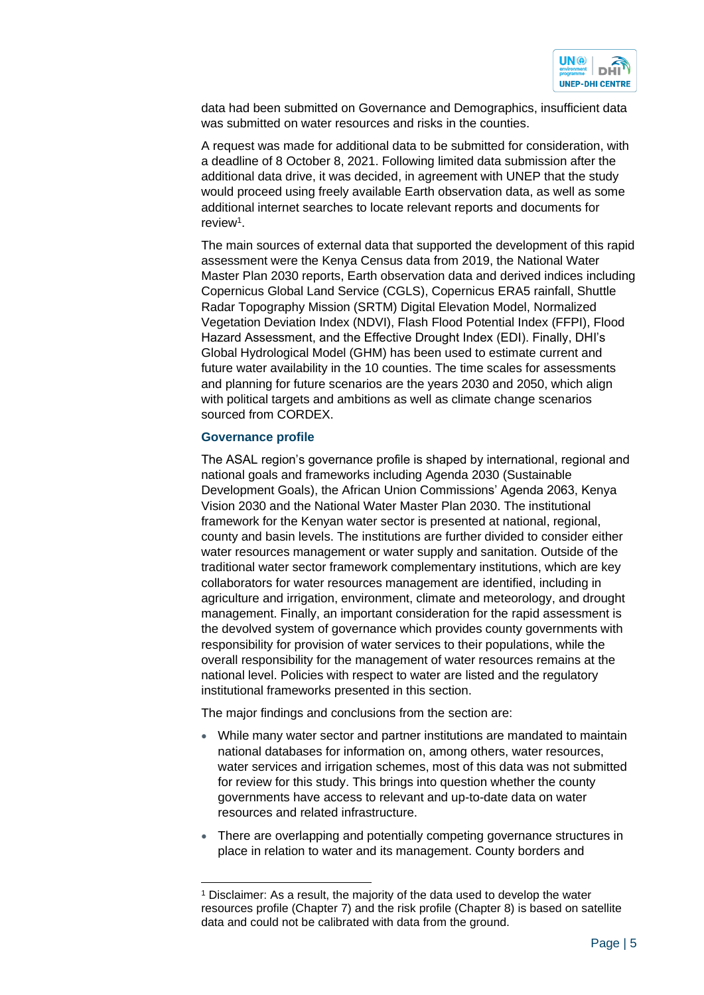

data had been submitted on Governance and Demographics, insufficient data was submitted on water resources and risks in the counties.

A request was made for additional data to be submitted for consideration, with a deadline of 8 October 8, 2021. Following limited data submission after the additional data drive, it was decided, in agreement with UNEP that the study would proceed using freely available Earth observation data, as well as some additional internet searches to locate relevant reports and documents for review<sup>1</sup>.

The main sources of external data that supported the development of this rapid assessment were the Kenya Census data from 2019, the National Water Master Plan 2030 reports, Earth observation data and derived indices including Copernicus Global Land Service (CGLS), Copernicus ERA5 rainfall, Shuttle Radar Topography Mission (SRTM) Digital Elevation Model, Normalized Vegetation Deviation Index (NDVI), Flash Flood Potential Index (FFPI), Flood Hazard Assessment, and the Effective Drought Index (EDI). Finally, DHI's Global Hydrological Model (GHM) has been used to estimate current and future water availability in the 10 counties. The time scales for assessments and planning for future scenarios are the years 2030 and 2050, which align with political targets and ambitions as well as climate change scenarios sourced from CORDEX.

#### **Governance profile**

The ASAL region's governance profile is shaped by international, regional and national goals and frameworks including Agenda 2030 (Sustainable Development Goals), the African Union Commissions' Agenda 2063, Kenya Vision 2030 and the National Water Master Plan 2030. The institutional framework for the Kenyan water sector is presented at national, regional, county and basin levels. The institutions are further divided to consider either water resources management or water supply and sanitation. Outside of the traditional water sector framework complementary institutions, which are key collaborators for water resources management are identified, including in agriculture and irrigation, environment, climate and meteorology, and drought management. Finally, an important consideration for the rapid assessment is the devolved system of governance which provides county governments with responsibility for provision of water services to their populations, while the overall responsibility for the management of water resources remains at the national level. Policies with respect to water are listed and the regulatory institutional frameworks presented in this section.

The major findings and conclusions from the section are:

- While many water sector and partner institutions are mandated to maintain national databases for information on, among others, water resources, water services and irrigation schemes, most of this data was not submitted for review for this study. This brings into question whether the county governments have access to relevant and up-to-date data on water resources and related infrastructure.
- There are overlapping and potentially competing governance structures in place in relation to water and its management. County borders and

<sup>1</sup> Disclaimer: As a result, the majority of the data used to develop the water resources profile (Chapter 7) and the risk profile (Chapter 8) is based on satellite data and could not be calibrated with data from the ground.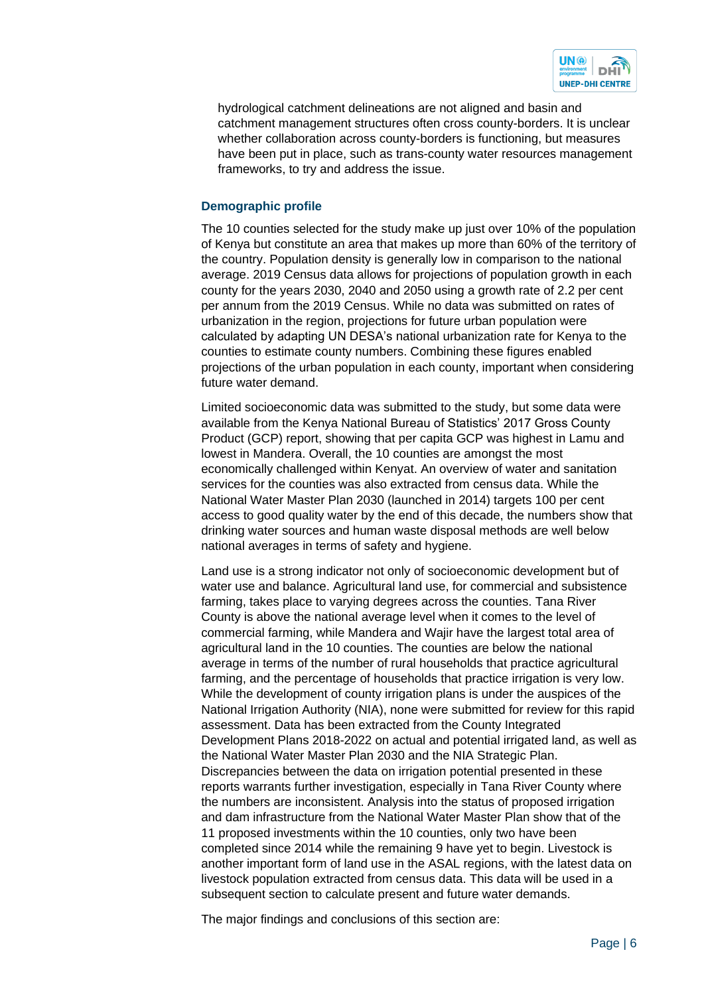

hydrological catchment delineations are not aligned and basin and catchment management structures often cross county-borders. It is unclear whether collaboration across county-borders is functioning, but measures have been put in place, such as trans-county water resources management frameworks, to try and address the issue.

#### **Demographic profile**

The 10 counties selected for the study make up just over 10% of the population of Kenya but constitute an area that makes up more than 60% of the territory of the country. Population density is generally low in comparison to the national average. 2019 Census data allows for projections of population growth in each county for the years 2030, 2040 and 2050 using a growth rate of 2.2 per cent per annum from the 2019 Census. While no data was submitted on rates of urbanization in the region, projections for future urban population were calculated by adapting UN DESA's national urbanization rate for Kenya to the counties to estimate county numbers. Combining these figures enabled projections of the urban population in each county, important when considering future water demand.

Limited socioeconomic data was submitted to the study, but some data were available from the Kenya National Bureau of Statistics' 2017 Gross County Product (GCP) report, showing that per capita GCP was highest in Lamu and lowest in Mandera. Overall, the 10 counties are amongst the most economically challenged within Kenyat. An overview of water and sanitation services for the counties was also extracted from census data. While the National Water Master Plan 2030 (launched in 2014) targets 100 per cent access to good quality water by the end of this decade, the numbers show that drinking water sources and human waste disposal methods are well below national averages in terms of safety and hygiene.

Land use is a strong indicator not only of socioeconomic development but of water use and balance. Agricultural land use, for commercial and subsistence farming, takes place to varying degrees across the counties. Tana River County is above the national average level when it comes to the level of commercial farming, while Mandera and Wajir have the largest total area of agricultural land in the 10 counties. The counties are below the national average in terms of the number of rural households that practice agricultural farming, and the percentage of households that practice irrigation is very low. While the development of county irrigation plans is under the auspices of the National Irrigation Authority (NIA), none were submitted for review for this rapid assessment. Data has been extracted from the County Integrated Development Plans 2018-2022 on actual and potential irrigated land, as well as the National Water Master Plan 2030 and the NIA Strategic Plan. Discrepancies between the data on irrigation potential presented in these reports warrants further investigation, especially in Tana River County where the numbers are inconsistent. Analysis into the status of proposed irrigation and dam infrastructure from the National Water Master Plan show that of the 11 proposed investments within the 10 counties, only two have been completed since 2014 while the remaining 9 have yet to begin. Livestock is another important form of land use in the ASAL regions, with the latest data on livestock population extracted from census data. This data will be used in a subsequent section to calculate present and future water demands.

The major findings and conclusions of this section are: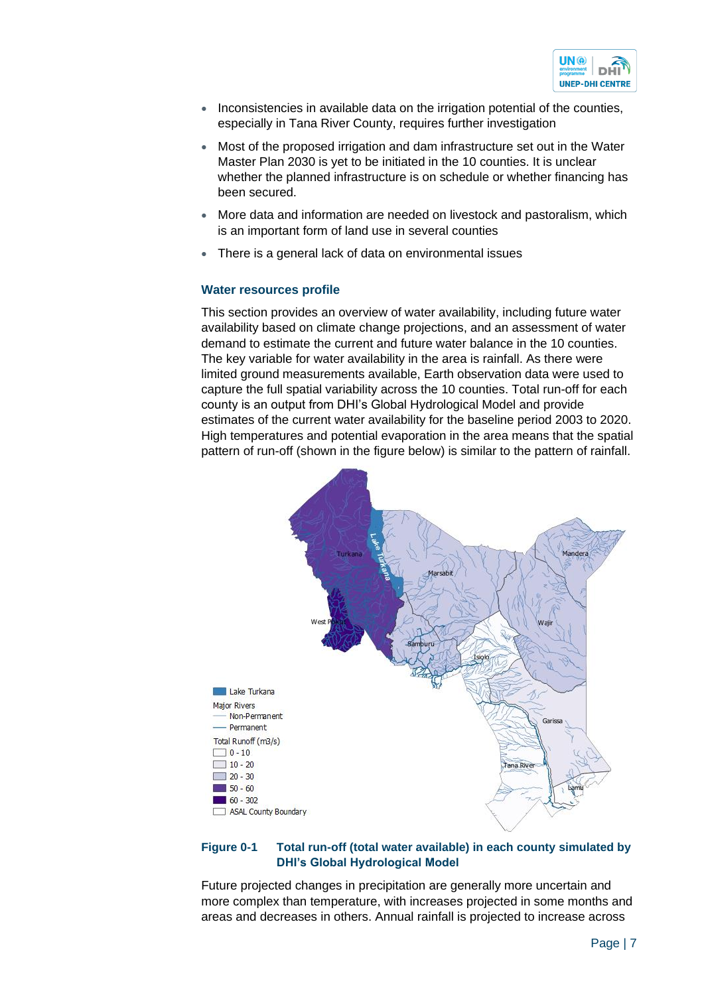

- Inconsistencies in available data on the irrigation potential of the counties, especially in Tana River County, requires further investigation
- Most of the proposed irrigation and dam infrastructure set out in the Water Master Plan 2030 is yet to be initiated in the 10 counties. It is unclear whether the planned infrastructure is on schedule or whether financing has been secured.
- More data and information are needed on livestock and pastoralism, which is an important form of land use in several counties
- There is a general lack of data on environmental issues

#### **Water resources profile**

This section provides an overview of water availability, including future water availability based on climate change projections, and an assessment of water demand to estimate the current and future water balance in the 10 counties. The key variable for water availability in the area is rainfall. As there were limited ground measurements available, Earth observation data were used to capture the full spatial variability across the 10 counties. Total run-off for each county is an output from DHI's Global Hydrological Model and provide estimates of the current water availability for the baseline period 2003 to 2020. High temperatures and potential evaporation in the area means that the spatial pattern of run-off (shown in the figure below) is similar to the pattern of rainfall.



#### <span id="page-6-0"></span>**Figure 0-1 Total run-off (total water available) in each county simulated by DHI's Global Hydrological Model**

Future projected changes in precipitation are generally more uncertain and more complex than temperature, with increases projected in some months and areas and decreases in others. Annual rainfall is projected to increase across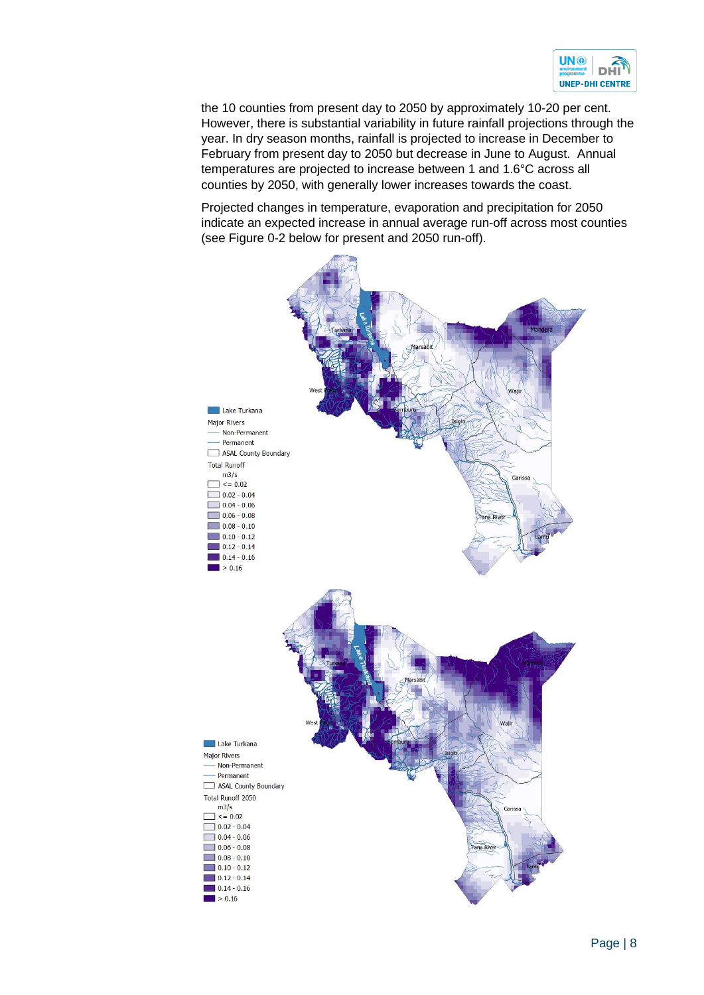

the 10 counties from present day to 2050 by approximately 10-20 per cent. However, there is substantial variability in future rainfall projections through the year. In dry season months, rainfall is projected to increase in December to February from present day to 2050 but decrease in June to August. Annual temperatures are projected to increase between 1 and 1.6°C across all counties by 2050, with generally lower increases towards the coast.

Projected changes in temperature, evaporation and precipitation for 2050 indicate an expected increase in annual average run-off across most counties (see [Figure 0-2](#page-8-0) below for present and 2050 run-off).

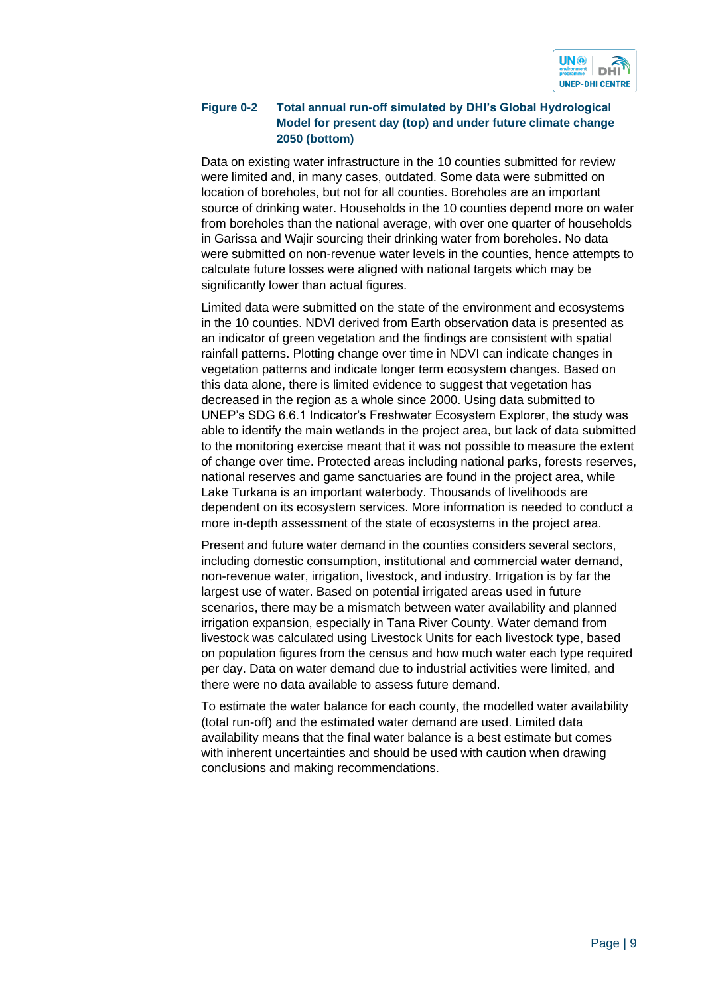

#### <span id="page-8-0"></span>**Figure 0-2 Total annual run-off simulated by DHI's Global Hydrological Model for present day (top) and under future climate change 2050 (bottom)**

Data on existing water infrastructure in the 10 counties submitted for review were limited and, in many cases, outdated. Some data were submitted on location of boreholes, but not for all counties. Boreholes are an important source of drinking water. Households in the 10 counties depend more on water from boreholes than the national average, with over one quarter of households in Garissa and Wajir sourcing their drinking water from boreholes. No data were submitted on non-revenue water levels in the counties, hence attempts to calculate future losses were aligned with national targets which may be significantly lower than actual figures.

Limited data were submitted on the state of the environment and ecosystems in the 10 counties. NDVI derived from Earth observation data is presented as an indicator of green vegetation and the findings are consistent with spatial rainfall patterns. Plotting change over time in NDVI can indicate changes in vegetation patterns and indicate longer term ecosystem changes. Based on this data alone, there is limited evidence to suggest that vegetation has decreased in the region as a whole since 2000. Using data submitted to UNEP's SDG 6.6.1 Indicator's Freshwater Ecosystem Explorer, the study was able to identify the main wetlands in the project area, but lack of data submitted to the monitoring exercise meant that it was not possible to measure the extent of change over time. Protected areas including national parks, forests reserves, national reserves and game sanctuaries are found in the project area, while Lake Turkana is an important waterbody. Thousands of livelihoods are dependent on its ecosystem services. More information is needed to conduct a more in-depth assessment of the state of ecosystems in the project area.

Present and future water demand in the counties considers several sectors, including domestic consumption, institutional and commercial water demand, non-revenue water, irrigation, livestock, and industry. Irrigation is by far the largest use of water. Based on potential irrigated areas used in future scenarios, there may be a mismatch between water availability and planned irrigation expansion, especially in Tana River County. Water demand from livestock was calculated using Livestock Units for each livestock type, based on population figures from the census and how much water each type required per day. Data on water demand due to industrial activities were limited, and there were no data available to assess future demand.

To estimate the water balance for each county, the modelled water availability (total run-off) and the estimated water demand are used. Limited data availability means that the final water balance is a best estimate but comes with inherent uncertainties and should be used with caution when drawing conclusions and making recommendations.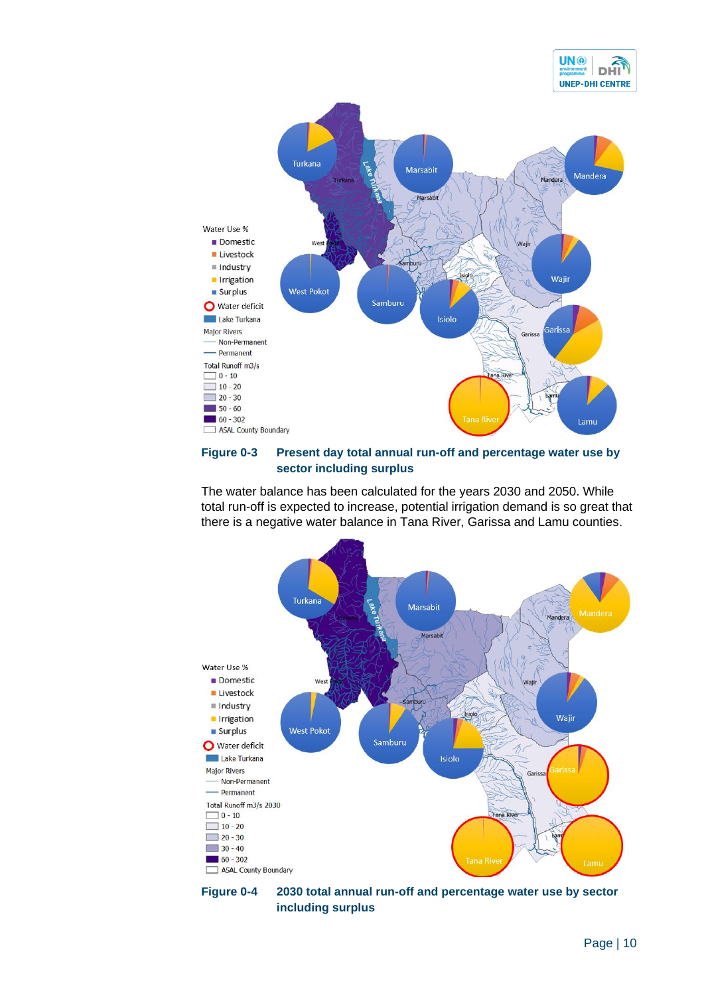



#### <span id="page-9-0"></span>**Figure 0-3 Present day total annual run-off and percentage water use by sector including surplus**

The water balance has been calculated for the years 2030 and 2050. While total run-off is expected to increase, potential irrigation demand is so great that there is a negative water balance in Tana River, Garissa and Lamu counties.



<span id="page-9-1"></span>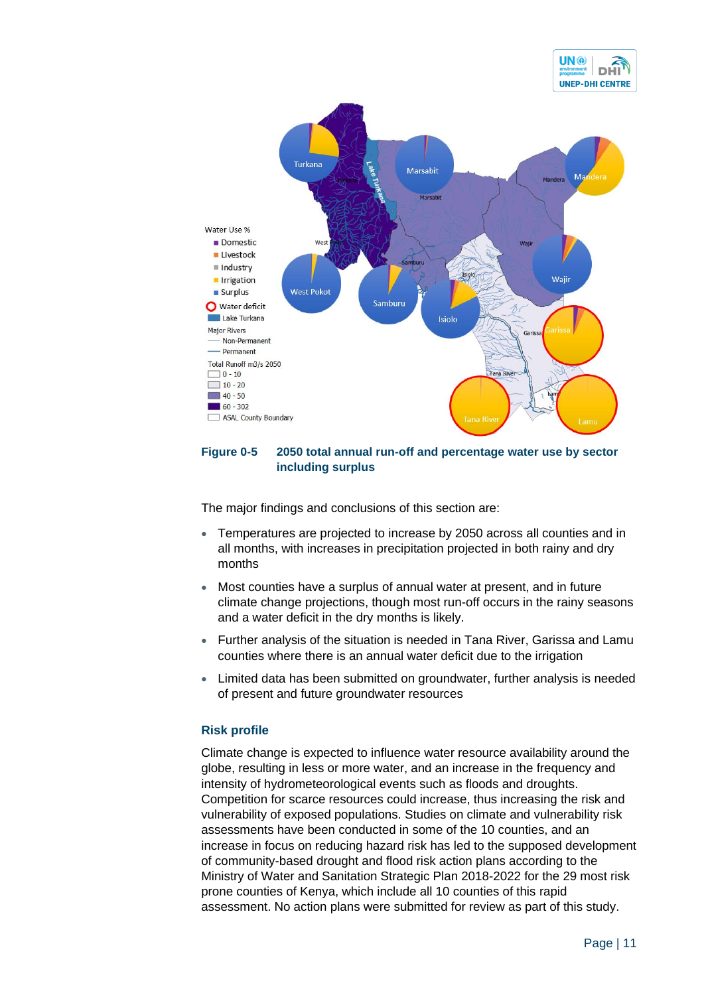



#### <span id="page-10-0"></span>**Figure 0-5 2050 total annual run-off and percentage water use by sector including surplus**

The major findings and conclusions of this section are:

- Temperatures are projected to increase by 2050 across all counties and in all months, with increases in precipitation projected in both rainy and dry months
- Most counties have a surplus of annual water at present, and in future climate change projections, though most run-off occurs in the rainy seasons and a water deficit in the dry months is likely.
- Further analysis of the situation is needed in Tana River, Garissa and Lamu counties where there is an annual water deficit due to the irrigation
- Limited data has been submitted on groundwater, further analysis is needed of present and future groundwater resources

#### **Risk profile**

Climate change is expected to influence water resource availability around the globe, resulting in less or more water, and an increase in the frequency and intensity of hydrometeorological events such as floods and droughts. Competition for scarce resources could increase, thus increasing the risk and vulnerability of exposed populations. Studies on climate and vulnerability risk assessments have been conducted in some of the 10 counties, and an increase in focus on reducing hazard risk has led to the supposed development of community-based drought and flood risk action plans according to the Ministry of Water and Sanitation Strategic Plan 2018-2022 for the 29 most risk prone counties of Kenya, which include all 10 counties of this rapid assessment. No action plans were submitted for review as part of this study.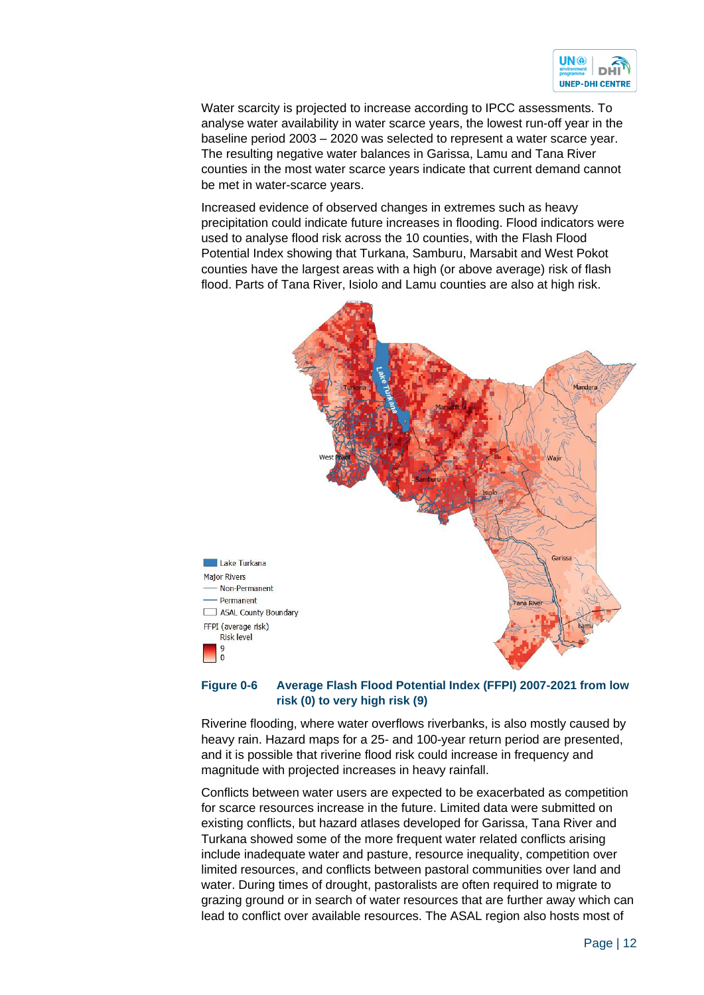

Water scarcity is projected to increase according to IPCC assessments. To analyse water availability in water scarce years, the lowest run-off year in the baseline period 2003 – 2020 was selected to represent a water scarce year. The resulting negative water balances in Garissa, Lamu and Tana River counties in the most water scarce years indicate that current demand cannot be met in water-scarce years.

Increased evidence of observed changes in extremes such as heavy precipitation could indicate future increases in flooding. Flood indicators were used to analyse flood risk across the 10 counties, with the Flash Flood Potential Index showing that Turkana, Samburu, Marsabit and West Pokot counties have the largest areas with a high (or above average) risk of flash flood. Parts of Tana River, Isiolo and Lamu counties are also at high risk.



#### <span id="page-11-0"></span>**Figure 0-6 Average Flash Flood Potential Index (FFPI) 2007-2021 from low risk (0) to very high risk (9)**

Riverine flooding, where water overflows riverbanks, is also mostly caused by heavy rain. Hazard maps for a 25- and 100-year return period are presented, and it is possible that riverine flood risk could increase in frequency and magnitude with projected increases in heavy rainfall.

Conflicts between water users are expected to be exacerbated as competition for scarce resources increase in the future. Limited data were submitted on existing conflicts, but hazard atlases developed for Garissa, Tana River and Turkana showed some of the more frequent water related conflicts arising include inadequate water and pasture, resource inequality, competition over limited resources, and conflicts between pastoral communities over land and water. During times of drought, pastoralists are often required to migrate to grazing ground or in search of water resources that are further away which can lead to conflict over available resources. The ASAL region also hosts most of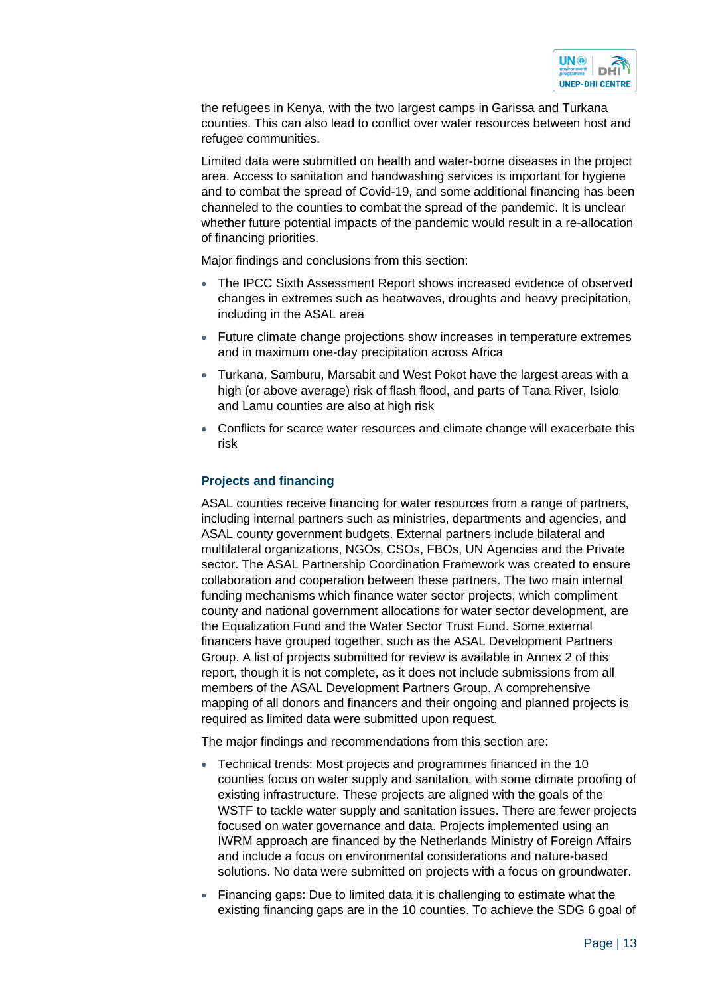

the refugees in Kenya, with the two largest camps in Garissa and Turkana counties. This can also lead to conflict over water resources between host and refugee communities.

Limited data were submitted on health and water-borne diseases in the project area. Access to sanitation and handwashing services is important for hygiene and to combat the spread of Covid-19, and some additional financing has been channeled to the counties to combat the spread of the pandemic. It is unclear whether future potential impacts of the pandemic would result in a re-allocation of financing priorities.

Major findings and conclusions from this section:

- The IPCC Sixth Assessment Report shows increased evidence of observed changes in extremes such as heatwaves, droughts and heavy precipitation, including in the ASAL area
- Future climate change projections show increases in temperature extremes and in maximum one-day precipitation across Africa
- Turkana, Samburu, Marsabit and West Pokot have the largest areas with a high (or above average) risk of flash flood, and parts of Tana River, Isiolo and Lamu counties are also at high risk
- Conflicts for scarce water resources and climate change will exacerbate this risk

#### **Projects and financing**

ASAL counties receive financing for water resources from a range of partners, including internal partners such as ministries, departments and agencies, and ASAL county government budgets. External partners include bilateral and multilateral organizations, NGOs, CSOs, FBOs, UN Agencies and the Private sector. The ASAL Partnership Coordination Framework was created to ensure collaboration and cooperation between these partners. The two main internal funding mechanisms which finance water sector projects, which compliment county and national government allocations for water sector development, are the Equalization Fund and the Water Sector Trust Fund. Some external financers have grouped together, such as the ASAL Development Partners Group. A list of projects submitted for review is available in Annex 2 of this report, though it is not complete, as it does not include submissions from all members of the ASAL Development Partners Group. A comprehensive mapping of all donors and financers and their ongoing and planned projects is required as limited data were submitted upon request.

The major findings and recommendations from this section are:

- Technical trends: Most projects and programmes financed in the 10 counties focus on water supply and sanitation, with some climate proofing of existing infrastructure. These projects are aligned with the goals of the WSTF to tackle water supply and sanitation issues. There are fewer projects focused on water governance and data. Projects implemented using an IWRM approach are financed by the Netherlands Ministry of Foreign Affairs and include a focus on environmental considerations and nature-based solutions. No data were submitted on projects with a focus on groundwater.
- Financing gaps: Due to limited data it is challenging to estimate what the existing financing gaps are in the 10 counties. To achieve the SDG 6 goal of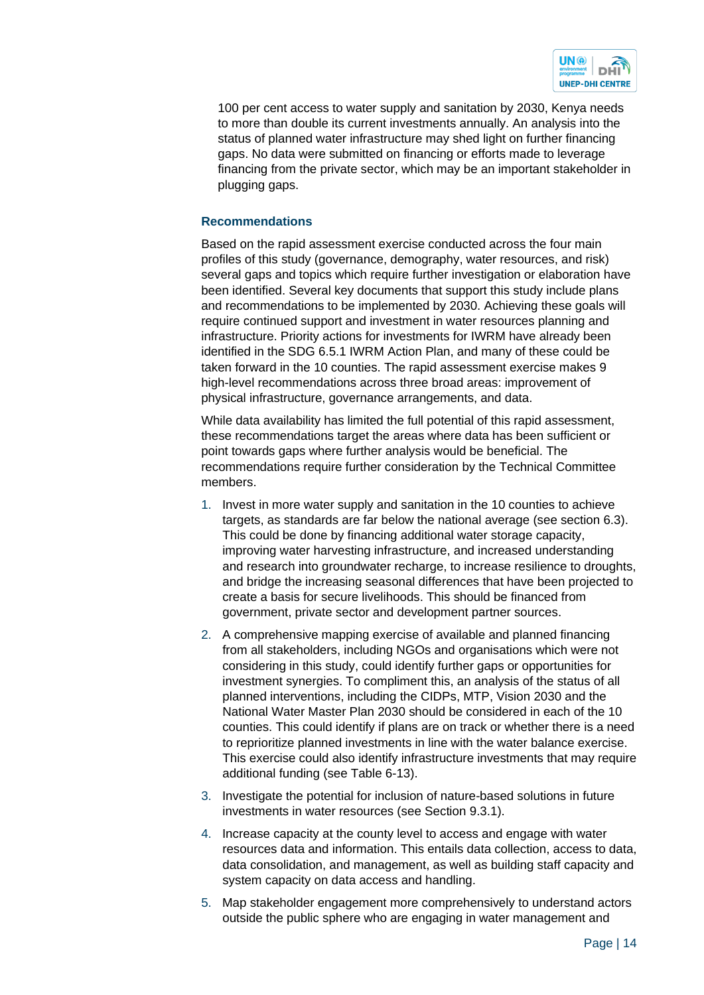

100 per cent access to water supply and sanitation by 2030, Kenya needs to more than double its current investments annually. An analysis into the status of planned water infrastructure may shed light on further financing gaps. No data were submitted on financing or efforts made to leverage financing from the private sector, which may be an important stakeholder in plugging gaps.

#### **Recommendations**

Based on the rapid assessment exercise conducted across the four main profiles of this study (governance, demography, water resources, and risk) several gaps and topics which require further investigation or elaboration have been identified. Several key documents that support this study include plans and recommendations to be implemented by 2030. Achieving these goals will require continued support and investment in water resources planning and infrastructure. Priority actions for investments for IWRM have already been identified in the SDG 6.5.1 IWRM Action Plan, and many of these could be taken forward in the 10 counties. The rapid assessment exercise makes 9 high-level recommendations across three broad areas: improvement of physical infrastructure, governance arrangements, and data.

While data availability has limited the full potential of this rapid assessment, these recommendations target the areas where data has been sufficient or point towards gaps where further analysis would be beneficial. The recommendations require further consideration by the Technical Committee members.

- 1. Invest in more water supply and sanitation in the 10 counties to achieve targets, as standards are far below the national average (see section 6.3). This could be done by financing additional water storage capacity, improving water harvesting infrastructure, and increased understanding and research into groundwater recharge, to increase resilience to droughts, and bridge the increasing seasonal differences that have been projected to create a basis for secure livelihoods. This should be financed from government, private sector and development partner sources.
- 2. A comprehensive mapping exercise of available and planned financing from all stakeholders, including NGOs and organisations which were not considering in this study, could identify further gaps or opportunities for investment synergies. To compliment this, an analysis of the status of all planned interventions, including the CIDPs, MTP, Vision 2030 and the National Water Master Plan 2030 should be considered in each of the 10 counties. This could identify if plans are on track or whether there is a need to reprioritize planned investments in line with the water balance exercise. This exercise could also identify infrastructure investments that may require additional funding (see Table 6-13).
- 3. Investigate the potential for inclusion of nature-based solutions in future investments in water resources (see Section 9.3.1).
- 4. Increase capacity at the county level to access and engage with water resources data and information. This entails data collection, access to data, data consolidation, and management, as well as building staff capacity and system capacity on data access and handling.
- 5. Map stakeholder engagement more comprehensively to understand actors outside the public sphere who are engaging in water management and